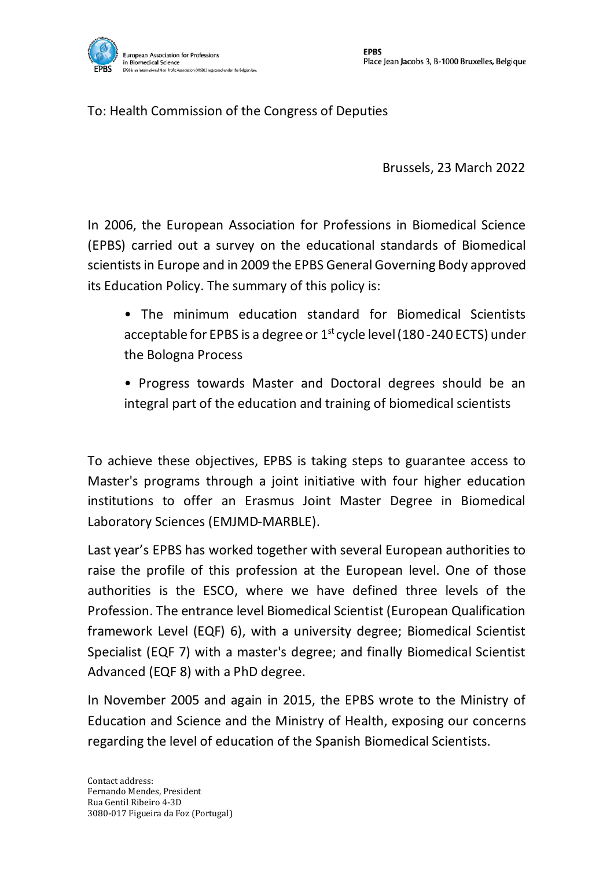

## To: Health Commission of the Congress of Deputies

Brussels, 23 March 2022

In 2006, the European Association for Professions in Biomedical Science (EPBS) carried out a survey on the educational standards of Biomedical scientistsin Europe and in 2009 the EPBS General Governing Body approved its Education Policy. The summary of this policy is:

- The minimum education standard for Biomedical Scientists acceptable for EPBS is a degree or 1<sup>st</sup> cycle level (180-240 ECTS) under the Bologna Process
- Progress towards Master and Doctoral degrees should be an integral part of the education and training of biomedical scientists

To achieve these objectives, EPBS is taking steps to guarantee access to Master's programs through a joint initiative with four higher education institutions to offer an Erasmus Joint Master Degree in Biomedical Laboratory Sciences (EMJMD-MARBLE).

Last year's EPBS has worked together with several European authorities to raise the profile of this profession at the European level. One of those authorities is the ESCO, where we have defined three levels of the Profession. The entrance level Biomedical Scientist (European Qualification framework Level (EQF) 6), with a university degree; Biomedical Scientist Specialist (EQF 7) with a master's degree; and finally Biomedical Scientist Advanced (EQF 8) with a PhD degree.

In November 2005 and again in 2015, the EPBS wrote to the Ministry of Education and Science and the Ministry of Health, exposing our concerns regarding the level of education of the Spanish Biomedical Scientists.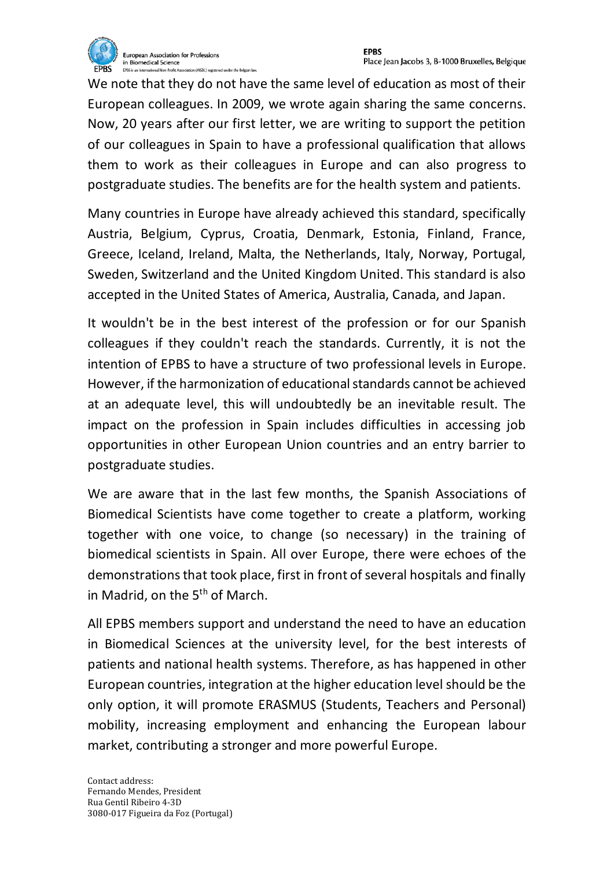

We note that they do not have the same level of education as most of their European colleagues. In 2009, we wrote again sharing the same concerns. Now, 20 years after our first letter, we are writing to support the petition of our colleagues in Spain to have a professional qualification that allows them to work as their colleagues in Europe and can also progress to postgraduate studies. The benefits are for the health system and patients.

Many countries in Europe have already achieved this standard, specifically Austria, Belgium, Cyprus, Croatia, Denmark, Estonia, Finland, France, Greece, Iceland, Ireland, Malta, the Netherlands, Italy, Norway, Portugal, Sweden, Switzerland and the United Kingdom United. This standard is also accepted in the United States of America, Australia, Canada, and Japan.

It wouldn't be in the best interest of the profession or for our Spanish colleagues if they couldn't reach the standards. Currently, it is not the intention of EPBS to have a structure of two professional levels in Europe. However, if the harmonization of educational standards cannot be achieved at an adequate level, this will undoubtedly be an inevitable result. The impact on the profession in Spain includes difficulties in accessing job opportunities in other European Union countries and an entry barrier to postgraduate studies.

We are aware that in the last few months, the Spanish Associations of Biomedical Scientists have come together to create a platform, working together with one voice, to change (so necessary) in the training of biomedical scientists in Spain. All over Europe, there were echoes of the demonstrations that took place, first in front of several hospitals and finally in Madrid, on the  $5<sup>th</sup>$  of March.

All EPBS members support and understand the need to have an education in Biomedical Sciences at the university level, for the best interests of patients and national health systems. Therefore, as has happened in other European countries, integration at the higher education level should be the only option, it will promote ERASMUS (Students, Teachers and Personal) mobility, increasing employment and enhancing the European labour market, contributing a stronger and more powerful Europe.